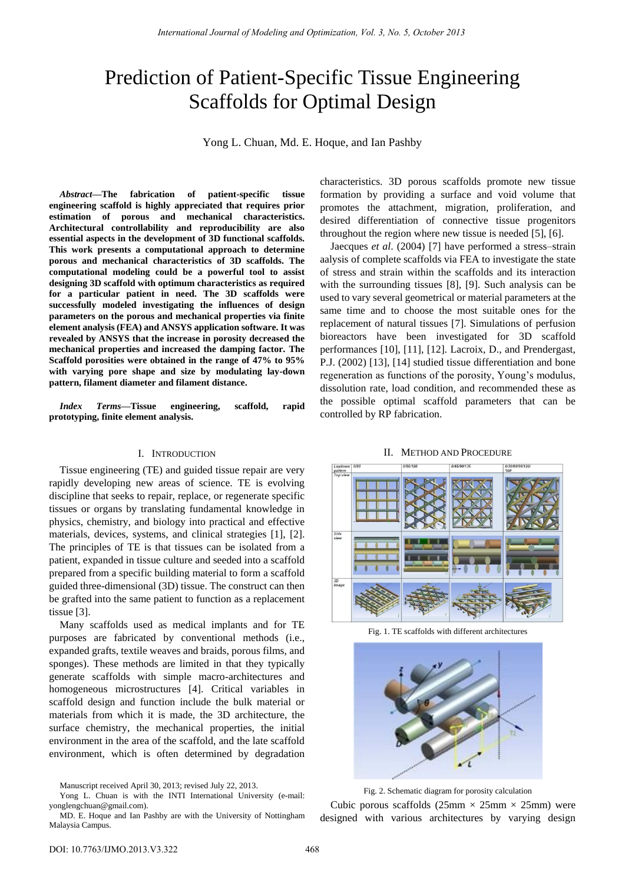# Prediction of Patient-Specific Tissue Engineering Scaffolds for Optimal Design

Yong L. Chuan, Md. E. Hoque, and Ian Pashby

*Abstract***—The fabrication of patient-specific tissue engineering scaffold is highly appreciated that requires prior estimation of porous and mechanical characteristics. Architectural controllability and reproducibility are also essential aspects in the development of 3D functional scaffolds. This work presents a computational approach to determine porous and mechanical characteristics of 3D scaffolds. The computational modeling could be a powerful tool to assist designing 3D scaffold with optimum characteristics as required for a particular patient in need. The 3D scaffolds were successfully modeled investigating the influences of design parameters on the porous and mechanical properties via finite element analysis (FEA) and ANSYS application software. It was revealed by ANSYS that the increase in porosity decreased the mechanical properties and increased the damping factor. The Scaffold porosities were obtained in the range of 47% to 95% with varying pore shape and size by modulating lay-down pattern, filament diameter and filament distance.** 

*Index Terms***—Tissue engineering, scaffold, rapid prototyping, finite element analysis.** 

## I. INTRODUCTION

Tissue engineering (TE) and guided tissue repair are very rapidly developing new areas of science. TE is evolving discipline that seeks to repair, replace, or regenerate specific tissues or organs by translating fundamental knowledge in physics, chemistry, and biology into practical and effective materials, devices, systems, and clinical strategies [1], [2]. The principles of TE is that tissues can be isolated from a patient, expanded in tissue culture and seeded into a scaffold prepared from a specific building material to form a scaffold guided three-dimensional (3D) tissue. The construct can then be grafted into the same patient to function as a replacement tissue [3].

Many scaffolds used as medical implants and for TE purposes are fabricated by conventional methods (i.e., expanded grafts, textile weaves and braids, porous films, and sponges). These methods are limited in that they typically generate scaffolds with simple macro-architectures and homogeneous microstructures [4]. Critical variables in scaffold design and function include the bulk material or materials from which it is made, the 3D architecture, the surface chemistry, the mechanical properties, the initial environment in the area of the scaffold, and the late scaffold environment, which is often determined by degradation

Manuscript received April 30, 2013; revised July 22, 2013.

characteristics. 3D porous scaffolds promote new tissue formation by providing a surface and void volume that promotes the attachment, migration, proliferation, and desired differentiation of connective tissue progenitors throughout the region where new tissue is needed [5], [6].

Jaecques *et al*. (2004) [7] have performed a stress–strain aalysis of complete scaffolds via FEA to investigate the state of stress and strain within the scaffolds and its interaction with the surrounding tissues [8], [9]. Such analysis can be used to vary several geometrical or material parameters at the same time and to choose the most suitable ones for the replacement of natural tissues [7]. Simulations of perfusion bioreactors have been investigated for 3D scaffold performances [10], [11], [12]. Lacroix, D., and Prendergast, P.J. (2002) [13], [14] studied tissue differentiation and bone regeneration as functions of the porosity, Young's modulus, dissolution rate, load condition, and recommended these as the possible optimal scaffold parameters that can be controlled by RP fabrication.





Fig. 1. TE scaffolds with different architectures



Fig. 2. Schematic diagram for porosity calculation

Cubic porous scaffolds (25mm  $\times$  25mm  $\times$  25mm) were designed with various architectures by varying design

Yong L. Chuan is with the INTI International University (e-mail: [yonglengchuan@gmail.com\)](mailto:yonglengchuan@gmail.com).

MD. E. Hoque and Ian Pashby are with the University of Nottingham Malaysia Campus.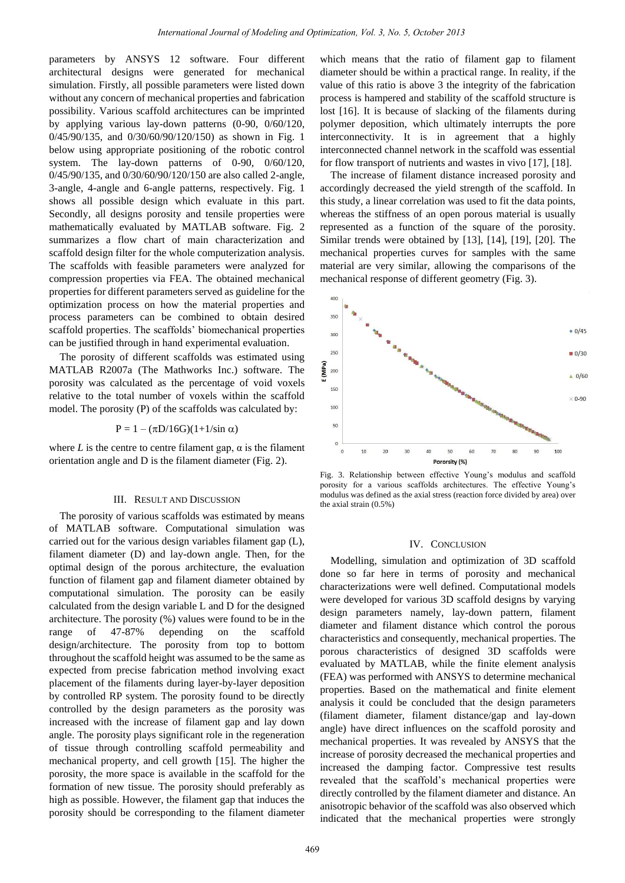parameters by ANSYS 12 software. Four different architectural designs were generated for mechanical simulation. Firstly, all possible parameters were listed down without any concern of mechanical properties and fabrication possibility. Various scaffold architectures can be imprinted by applying various lay-down patterns (0-90, 0/60/120, 0/45/90/135, and 0/30/60/90/120/150) as shown in Fig. 1 below using appropriate positioning of the robotic control system. The lay-down patterns of 0-90, 0/60/120, 0/45/90/135, and 0/30/60/90/120/150 are also called 2-angle, 3-angle, 4-angle and 6-angle patterns, respectively. Fig. 1 shows all possible design which evaluate in this part. Secondly, all designs porosity and tensile properties were mathematically evaluated by MATLAB software. Fig. 2 summarizes a flow chart of main characterization and scaffold design filter for the whole computerization analysis. The scaffolds with feasible parameters were analyzed for compression properties via FEA. The obtained mechanical properties for different parameters served as guideline for the optimization process on how the material properties and process parameters can be combined to obtain desired scaffold properties. The scaffolds' biomechanical properties can be justified through in hand experimental evaluation.

The porosity of different scaffolds was estimated using MATLAB R2007a (The Mathworks Inc.) software. The porosity was calculated as the percentage of void voxels relative to the total number of voxels within the scaffold model. The porosity (P) of the scaffolds was calculated by:

$$
P = 1 - (\pi D/16G)(1+1/\sin \alpha)
$$

where  $L$  is the centre to centre filament gap,  $\alpha$  is the filament orientation angle and D is the filament diameter (Fig. 2).

#### III. RESULT AND DISCUSSION

The porosity of various scaffolds was estimated by means of MATLAB software. Computational simulation was carried out for the various design variables filament gap (L), filament diameter (D) and lay-down angle. Then, for the optimal design of the porous architecture, the evaluation function of filament gap and filament diameter obtained by computational simulation. The porosity can be easily calculated from the design variable L and D for the designed architecture. The porosity (%) values were found to be in the range of 47-87% depending on the scaffold design/architecture. The porosity from top to bottom throughout the scaffold height was assumed to be the same as expected from precise fabrication method involving exact placement of the filaments during layer-by-layer deposition by controlled RP system. The porosity found to be directly controlled by the design parameters as the porosity was increased with the increase of filament gap and lay down angle. The porosity plays significant role in the regeneration of tissue through controlling scaffold permeability and mechanical property, and cell growth [15]. The higher the porosity, the more space is available in the scaffold for the formation of new tissue. The porosity should preferably as high as possible. However, the filament gap that induces the porosity should be corresponding to the filament diameter which means that the ratio of filament gap to filament diameter should be within a practical range. In reality, if the value of this ratio is above 3 the integrity of the fabrication process is hampered and stability of the scaffold structure is lost [16]. It is because of slacking of the filaments during polymer deposition, which ultimately interrupts the pore interconnectivity. It is in agreement that a highly interconnected channel network in the scaffold was essential for flow transport of nutrients and wastes in vivo [17], [18].

The increase of filament distance increased porosity and accordingly decreased the yield strength of the scaffold. In this study, a linear correlation was used to fit the data points, whereas the stiffness of an open porous material is usually represented as a function of the square of the porosity. Similar trends were obtained by [13], [14], [19], [20]. The mechanical properties curves for samples with the same material are very similar, allowing the comparisons of the mechanical response of different geometry (Fig. 3).



Fig. 3. Relationship between effective Young's modulus and scaffold porosity for a various scaffolds architectures. The effective Young's modulus was defined as the axial stress (reaction force divided by area) over the axial strain (0.5%)

## IV. CONCLUSION

Modelling, simulation and optimization of 3D scaffold done so far here in terms of porosity and mechanical characterizations were well defined. Computational models were developed for various 3D scaffold designs by varying design parameters namely, lay-down pattern, filament diameter and filament distance which control the porous characteristics and consequently, mechanical properties. The porous characteristics of designed 3D scaffolds were evaluated by MATLAB, while the finite element analysis (FEA) was performed with ANSYS to determine mechanical properties. Based on the mathematical and finite element analysis it could be concluded that the design parameters (filament diameter, filament distance/gap and lay-down angle) have direct influences on the scaffold porosity and mechanical properties. It was revealed by ANSYS that the increase of porosity decreased the mechanical properties and increased the damping factor. Compressive test results revealed that the scaffold's mechanical properties were directly controlled by the filament diameter and distance. An anisotropic behavior of the scaffold was also observed which indicated that the mechanical properties were strongly